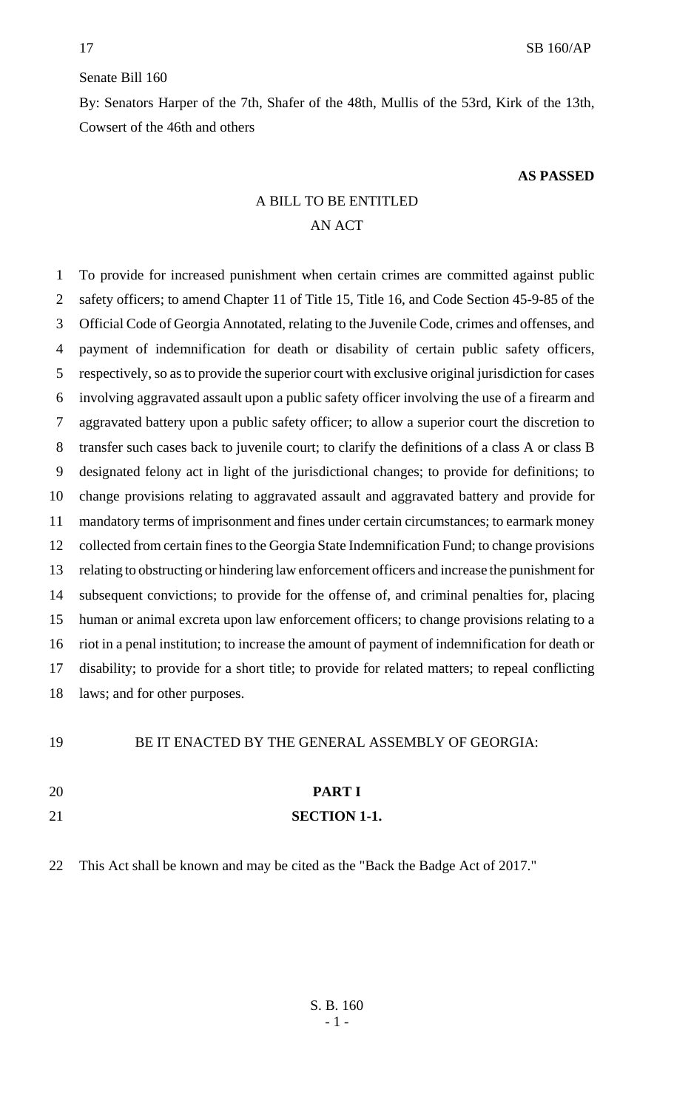#### Senate Bill 160

By: Senators Harper of the 7th, Shafer of the 48th, Mullis of the 53rd, Kirk of the 13th, Cowsert of the 46th and others

#### **AS PASSED**

# A BILL TO BE ENTITLED AN ACT

 To provide for increased punishment when certain crimes are committed against public safety officers; to amend Chapter 11 of Title 15, Title 16, and Code Section 45-9-85 of the Official Code of Georgia Annotated, relating to the Juvenile Code, crimes and offenses, and payment of indemnification for death or disability of certain public safety officers, respectively, so as to provide the superior court with exclusive original jurisdiction for cases involving aggravated assault upon a public safety officer involving the use of a firearm and aggravated battery upon a public safety officer; to allow a superior court the discretion to transfer such cases back to juvenile court; to clarify the definitions of a class A or class B designated felony act in light of the jurisdictional changes; to provide for definitions; to change provisions relating to aggravated assault and aggravated battery and provide for mandatory terms of imprisonment and fines under certain circumstances; to earmark money collected from certain fines to the Georgia State Indemnification Fund; to change provisions relating to obstructing or hindering law enforcement officers and increase the punishment for subsequent convictions; to provide for the offense of, and criminal penalties for, placing human or animal excreta upon law enforcement officers; to change provisions relating to a riot in a penal institution; to increase the amount of payment of indemnification for death or disability; to provide for a short title; to provide for related matters; to repeal conflicting laws; and for other purposes.

| 19 | BE IT ENACTED BY THE GENERAL ASSEMBLY OF GEORGIA: |
|----|---------------------------------------------------|
|    |                                                   |
| 20 | <b>PART I</b>                                     |
| 21 | <b>SECTION 1-1.</b>                               |
|    |                                                   |

This Act shall be known and may be cited as the "Back the Badge Act of 2017."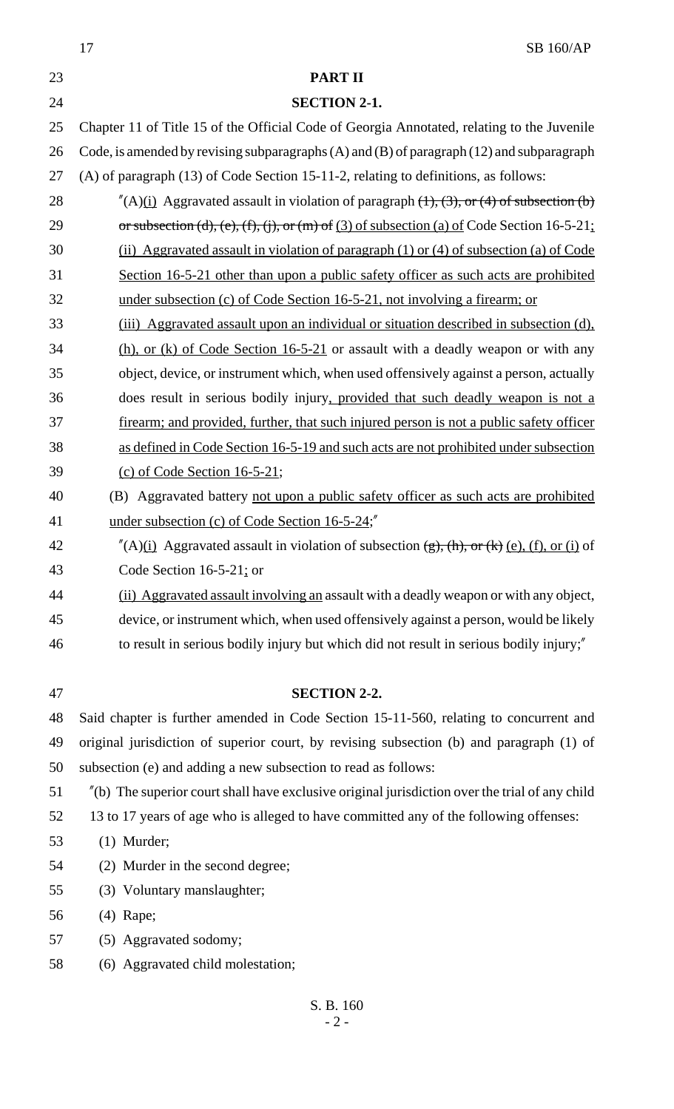|    | <b>SB 160/AP</b><br>17                                                                                                       |
|----|------------------------------------------------------------------------------------------------------------------------------|
| 23 | <b>PART II</b>                                                                                                               |
| 24 | <b>SECTION 2-1.</b>                                                                                                          |
| 25 | Chapter 11 of Title 15 of the Official Code of Georgia Annotated, relating to the Juvenile                                   |
| 26 | Code, is amended by revising subparagraphs (A) and (B) of paragraph (12) and subparagraph                                    |
| 27 | (A) of paragraph (13) of Code Section 15-11-2, relating to definitions, as follows:                                          |
| 28 | $^{\prime\prime}(A)$ (i) Aggravated assault in violation of paragraph (1), (3), or (4) of subsection (b)                     |
| 29 | or subsection (d), (e), (f), (j), or (m) of (3) of subsection (a) of Code Section 16-5-21;                                   |
| 30 | (ii) Aggravated assault in violation of paragraph $(1)$ or $(4)$ of subsection $(a)$ of Code                                 |
| 31 | Section 16-5-21 other than upon a public safety officer as such acts are prohibited                                          |
| 32 | under subsection (c) of Code Section 16-5-21, not involving a firearm; or                                                    |
| 33 | (iii) Aggravated assault upon an individual or situation described in subsection (d),                                        |
| 34 | $(h)$ , or (k) of Code Section 16-5-21 or assault with a deadly weapon or with any                                           |
| 35 | object, device, or instrument which, when used offensively against a person, actually                                        |
| 36 | does result in serious bodily injury, provided that such deadly weapon is not a                                              |
| 37 | firearm; and provided, further, that such injured person is not a public safety officer                                      |
| 38 | as defined in Code Section 16-5-19 and such acts are not prohibited under subsection                                         |
| 39 | (c) of Code Section $16-5-21$ ;                                                                                              |
| 40 | (B) Aggravated battery not upon a public safety officer as such acts are prohibited                                          |
| 41 | under subsection (c) of Code Section 16-5-24;"                                                                               |
| 42 | $^{\prime\prime}$ (A)(i) Aggravated assault in violation of subsection $\frac{\pi}{2}$ , $\frac{\pi}{k}$ (e), (f), or (i) of |
| 43 | Code Section $16-5-21$ ; or                                                                                                  |
| 44 | (ii) Aggravated assault involving an assault with a deadly weapon or with any object,                                        |
| 45 | device, or instrument which, when used offensively against a person, would be likely                                         |
| 46 | to result in serious bodily injury but which did not result in serious bodily injury;"                                       |
|    |                                                                                                                              |
| 47 | <b>SECTION 2-2.</b>                                                                                                          |
| 48 | Said chapter is further amended in Code Section 15-11-560, relating to concurrent and                                        |
| 49 | original jurisdiction of superior court, by revising subsection (b) and paragraph (1) of                                     |
| 50 | subsection (e) and adding a new subsection to read as follows:                                                               |
| 51 | $\tilde{H}$ (b) The superior court shall have exclusive original jurisdiction over the trial of any child                    |
| 52 | 13 to 17 years of age who is alleged to have committed any of the following offenses:                                        |
| 53 | $(1)$ Murder;                                                                                                                |
| 54 | (2) Murder in the second degree;                                                                                             |
| 55 | (3) Voluntary manslaughter;                                                                                                  |
| 56 | $(4)$ Rape;                                                                                                                  |
| 57 | (5) Aggravated sodomy;                                                                                                       |
| 58 | (6) Aggravated child molestation;                                                                                            |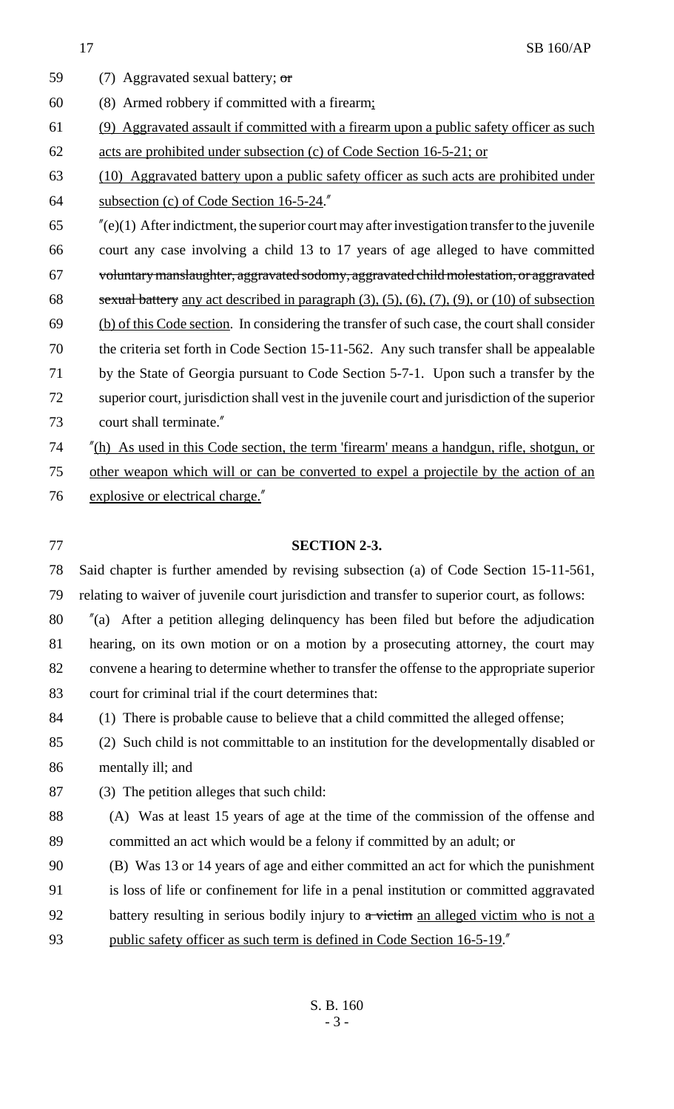17 SB 160/AP  $(7)$  Aggravated sexual battery; or (8) Armed robbery if committed with a firearm; (9) Aggravated assault if committed with a firearm upon a public safety officer as such acts are prohibited under subsection (c) of Code Section 16-5-21; or (10) Aggravated battery upon a public safety officer as such acts are prohibited under subsection (c) of Code Section 16-5-24." "(e)(1) After indictment, the superior court may after investigation transfer to the juvenile court any case involving a child 13 to 17 years of age alleged to have committed voluntary manslaughter, aggravated sodomy, aggravated child molestation, or aggravated sexual battery any act described in paragraph (3), (5), (6), (7), (9), or (10) of subsection (b) of this Code section. In considering the transfer of such case, the court shall consider the criteria set forth in Code Section 15-11-562. Any such transfer shall be appealable by the State of Georgia pursuant to Code Section 5-7-1. Upon such a transfer by the superior court, jurisdiction shall vest in the juvenile court and jurisdiction of the superior court shall terminate." "(h) As used in this Code section, the term 'firearm' means a handgun, rifle, shotgun, or other weapon which will or can be converted to expel a projectile by the action of an explosive or electrical charge." **SECTION 2-3.** Said chapter is further amended by revising subsection (a) of Code Section 15-11-561, relating to waiver of juvenile court jurisdiction and transfer to superior court, as follows: "(a) After a petition alleging delinquency has been filed but before the adjudication hearing, on its own motion or on a motion by a prosecuting attorney, the court may convene a hearing to determine whether to transfer the offense to the appropriate superior court for criminal trial if the court determines that: (1) There is probable cause to believe that a child committed the alleged offense; (2) Such child is not committable to an institution for the developmentally disabled or mentally ill; and (3) The petition alleges that such child: (A) Was at least 15 years of age at the time of the commission of the offense and committed an act which would be a felony if committed by an adult; or (B) Was 13 or 14 years of age and either committed an act for which the punishment is loss of life or confinement for life in a penal institution or committed aggravated 92 battery resulting in serious bodily injury to a victim an alleged victim who is not a public safety officer as such term is defined in Code Section 16-5-19."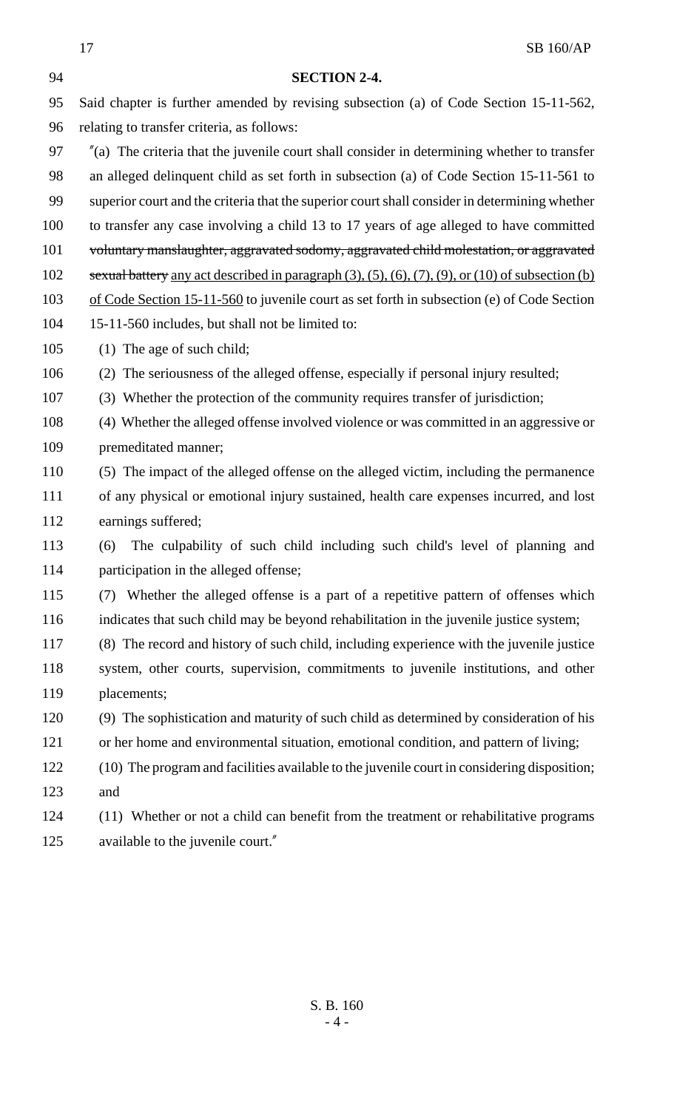|     | 17<br><b>SB 160/AP</b>                                                                                              |
|-----|---------------------------------------------------------------------------------------------------------------------|
| 94  | <b>SECTION 2-4.</b>                                                                                                 |
| 95  | Said chapter is further amended by revising subsection (a) of Code Section 15-11-562,                               |
| 96  | relating to transfer criteria, as follows:                                                                          |
| 97  | $\alpha$ (a) The criteria that the juvenile court shall consider in determining whether to transfer                 |
| 98  | an alleged delinquent child as set forth in subsection (a) of Code Section 15-11-561 to                             |
| 99  | superior court and the criteria that the superior court shall consider in determining whether                       |
| 100 | to transfer any case involving a child 13 to 17 years of age alleged to have committed                              |
| 101 | voluntary manslaughter, aggravated sodomy, aggravated child molestation, or aggravated                              |
| 102 | sexual battery any act described in paragraph $(3)$ , $(5)$ , $(6)$ , $(7)$ , $(9)$ , or $(10)$ of subsection $(b)$ |
| 103 | of Code Section 15-11-560 to juvenile court as set forth in subsection (e) of Code Section                          |
| 104 | 15-11-560 includes, but shall not be limited to:                                                                    |
| 105 | $(1)$ The age of such child;                                                                                        |
| 106 | (2) The seriousness of the alleged offense, especially if personal injury resulted;                                 |
| 107 | (3) Whether the protection of the community requires transfer of jurisdiction;                                      |
| 108 | (4) Whether the alleged offense involved violence or was committed in an aggressive or                              |
| 109 | premeditated manner;                                                                                                |
| 110 | (5) The impact of the alleged offense on the alleged victim, including the permanence                               |
| 111 | of any physical or emotional injury sustained, health care expenses incurred, and lost                              |
| 112 | earnings suffered;                                                                                                  |
| 113 | The culpability of such child including such child's level of planning and<br>(6)                                   |
| 114 | participation in the alleged offense;                                                                               |
| 115 | (7) Whether the alleged offense is a part of a repetitive pattern of offenses which                                 |
| 116 | indicates that such child may be beyond rehabilitation in the juvenile justice system;                              |
| 117 | (8) The record and history of such child, including experience with the juvenile justice                            |
| 118 | system, other courts, supervision, commitments to juvenile institutions, and other                                  |
| 119 | placements;                                                                                                         |
| 120 | (9) The sophistication and maturity of such child as determined by consideration of his                             |
| 121 | or her home and environmental situation, emotional condition, and pattern of living;                                |
| 122 | (10) The program and facilities available to the juvenile court in considering disposition;                         |
| 123 | and                                                                                                                 |
| 124 | (11) Whether or not a child can benefit from the treatment or rehabilitative programs                               |
| 125 | available to the juvenile court."                                                                                   |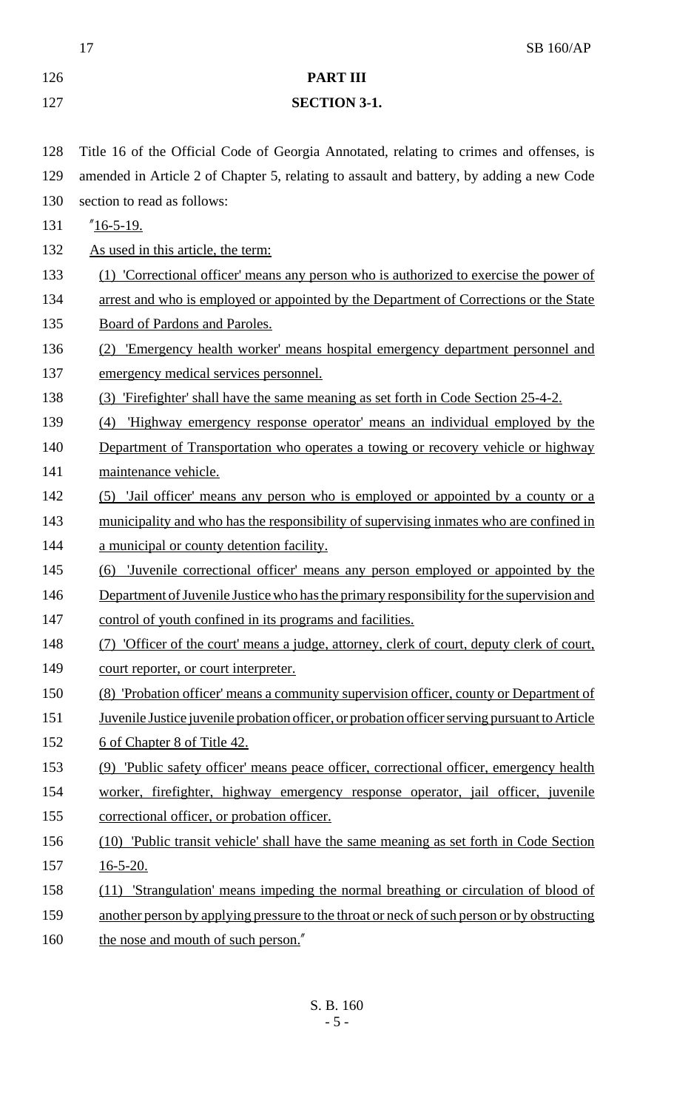17 SB 160/AP **PART III SECTION 3-1.** Title 16 of the Official Code of Georgia Annotated, relating to crimes and offenses, is amended in Article 2 of Chapter 5, relating to assault and battery, by adding a new Code section to read as follows: "16-5-19. 132 As used in this article, the term: (1) 'Correctional officer' means any person who is authorized to exercise the power of 134 arrest and who is employed or appointed by the Department of Corrections or the State Board of Pardons and Paroles. (2) 'Emergency health worker' means hospital emergency department personnel and emergency medical services personnel. (3) 'Firefighter' shall have the same meaning as set forth in Code Section 25-4-2. (4) 'Highway emergency response operator' means an individual employed by the 140 Department of Transportation who operates a towing or recovery vehicle or highway 141 maintenance vehicle. (5) 'Jail officer' means any person who is employed or appointed by a county or a 143 municipality and who has the responsibility of supervising inmates who are confined in **a municipal or county detention facility.**  (6) 'Juvenile correctional officer' means any person employed or appointed by the 146 Department of Juvenile Justice who has the primary responsibility for the supervision and 147 control of youth confined in its programs and facilities. (7) 'Officer of the court' means a judge, attorney, clerk of court, deputy clerk of court, 149 court reporter, or court interpreter. (8) 'Probation officer' means a community supervision officer, county or Department of 151 Juvenile Justice juvenile probation officer, or probation officer serving pursuant to Article 152 6 of Chapter 8 of Title 42. (9) 'Public safety officer' means peace officer, correctional officer, emergency health worker, firefighter, highway emergency response operator, jail officer, juvenile correctional officer, or probation officer. (10) 'Public transit vehicle' shall have the same meaning as set forth in Code Section 16-5-20. (11) 'Strangulation' means impeding the normal breathing or circulation of blood of 159 another person by applying pressure to the throat or neck of such person or by obstructing 160 the nose and mouth of such person."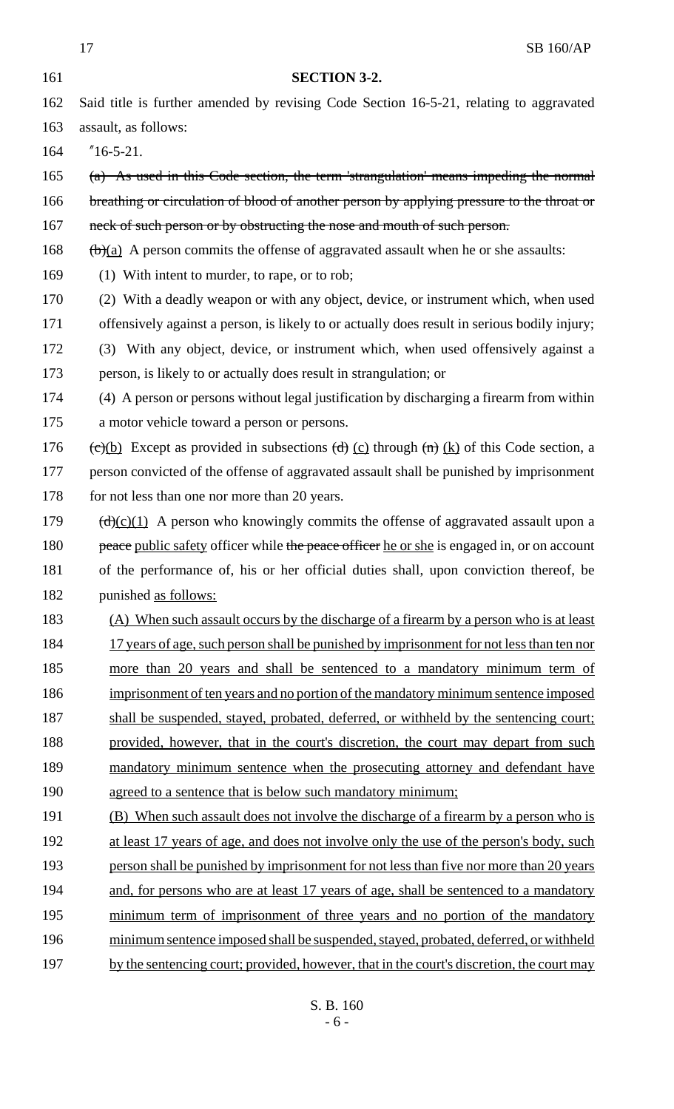|     | 17<br>SB 160/AP                                                                                                                 |
|-----|---------------------------------------------------------------------------------------------------------------------------------|
| 161 | <b>SECTION 3-2.</b>                                                                                                             |
| 162 | Said title is further amended by revising Code Section 16-5-21, relating to aggravated                                          |
| 163 | assault, as follows:                                                                                                            |
| 164 | $"16-5-21.$                                                                                                                     |
| 165 | $(a)$ As used in this Code section, the term 'strangulation' means impeding the normal                                          |
| 166 | breathing or circulation of blood of another person by applying pressure to the throat or                                       |
| 167 | neck of such person or by obstructing the nose and mouth of such person.                                                        |
| 168 | $\frac{f(b)(a)}{a}$ A person commits the offense of aggravated assault when he or she assaults:                                 |
| 169 | (1) With intent to murder, to rape, or to rob;                                                                                  |
| 170 | (2) With a deadly weapon or with any object, device, or instrument which, when used                                             |
| 171 | offensively against a person, is likely to or actually does result in serious bodily injury;                                    |
| 172 | (3) With any object, device, or instrument which, when used offensively against a                                               |
| 173 | person, is likely to or actually does result in strangulation; or                                                               |
| 174 | (4) A person or persons without legal justification by discharging a firearm from within                                        |
| 175 | a motor vehicle toward a person or persons.                                                                                     |
| 176 | $\overline{(e)(b)}$ Except as provided in subsections $\overline{(d)}$ (c) through $\overline{(n)}$ (k) of this Code section, a |
| 177 | person convicted of the offense of aggravated assault shall be punished by imprisonment                                         |
| 178 | for not less than one nor more than 20 years.                                                                                   |
| 179 | $\frac{d}{dx}(c)(1)$ A person who knowingly commits the offense of aggravated assault upon a                                    |
| 180 | peace public safety officer while the peace officer he or she is engaged in, or on account                                      |
| 181 | of the performance of, his or her official duties shall, upon conviction thereof, be                                            |
| 182 | punished as follows:                                                                                                            |
| 183 | (A) When such assault occurs by the discharge of a firearm by a person who is at least                                          |
| 184 | 17 years of age, such person shall be punished by imprisonment for not less than ten nor                                        |
| 185 | more than 20 years and shall be sentenced to a mandatory minimum term of                                                        |
| 186 | imprisonment of ten years and no portion of the mandatory minimum sentence imposed                                              |
| 187 | shall be suspended, stayed, probated, deferred, or withheld by the sentencing court;                                            |
| 188 | provided, however, that in the court's discretion, the court may depart from such                                               |
| 189 | mandatory minimum sentence when the prosecuting attorney and defendant have                                                     |
| 190 | agreed to a sentence that is below such mandatory minimum;                                                                      |
| 191 | (B) When such assault does not involve the discharge of a firearm by a person who is                                            |
| 192 | at least 17 years of age, and does not involve only the use of the person's body, such                                          |
| 193 | person shall be punished by imprisonment for not less than five nor more than 20 years                                          |
| 194 | and, for persons who are at least 17 years of age, shall be sentenced to a mandatory                                            |
| 195 | minimum term of imprisonment of three years and no portion of the mandatory                                                     |
| 196 | minimum sentence imposed shall be suspended, stayed, probated, deferred, or withheld                                            |
| 197 | by the sentencing court; provided, however, that in the court's discretion, the court may                                       |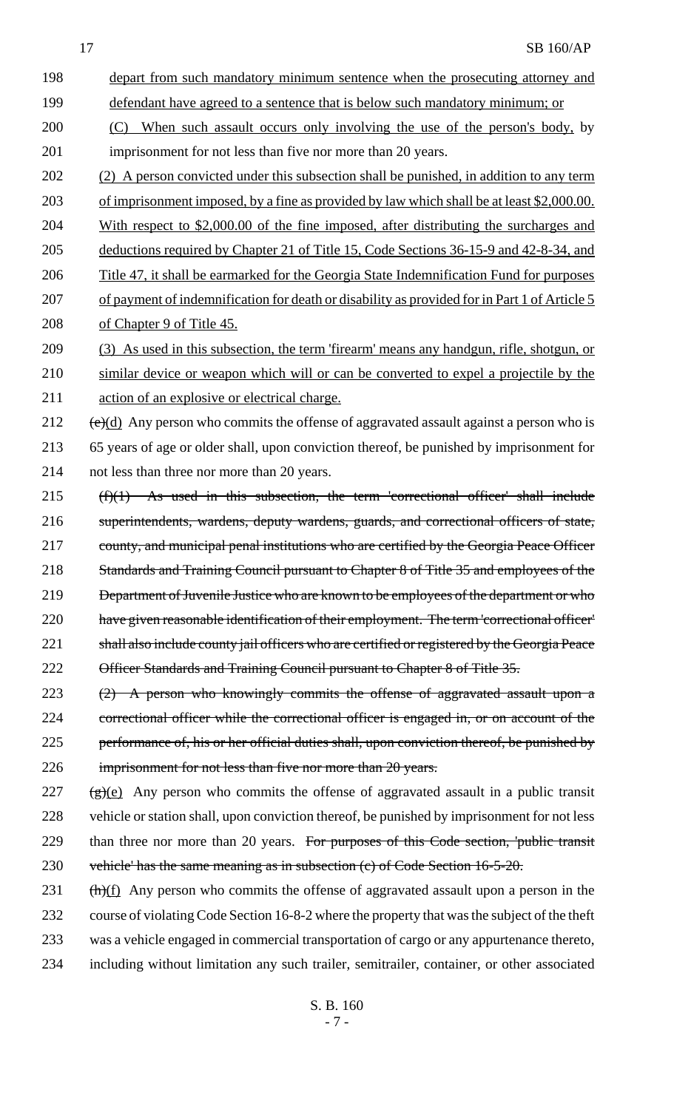- 198 depart from such mandatory minimum sentence when the prosecuting attorney and 199 defendant have agreed to a sentence that is below such mandatory minimum; or 200 (C) When such assault occurs only involving the use of the person's body, by 201 imprisonment for not less than five nor more than 20 years. 202 (2) A person convicted under this subsection shall be punished, in addition to any term 203 of imprisonment imposed, by a fine as provided by law which shall be at least \$2,000.00. 204 With respect to \$2,000.00 of the fine imposed, after distributing the surcharges and 205 deductions required by Chapter 21 of Title 15, Code Sections 36-15-9 and 42-8-34, and 206 Title 47, it shall be earmarked for the Georgia State Indemnification Fund for purposes
	- 207 of payment of indemnification for death or disability as provided for in Part 1 of Article 5 208 of Chapter 9 of Title 45.
	- 209 (3) As used in this subsection, the term 'firearm' means any handgun, rifle, shotgun, or 210 similar device or weapon which will or can be converted to expel a projectile by the 211 action of an explosive or electrical charge.

212  $(e)(d)$  Any person who commits the offense of aggravated assault against a person who is 213 65 years of age or older shall, upon conviction thereof, be punished by imprisonment for 214 not less than three nor more than 20 years.

- $215$  (f)(1) As used in this subsection, the term 'correctional officer' shall include 216 superintendents, wardens, deputy wardens, guards, and correctional officers of state, 217 county, and municipal penal institutions who are certified by the Georgia Peace Officer 218 Standards and Training Council pursuant to Chapter 8 of Title 35 and employees of the 219 Department of Juvenile Justice who are known to be employees of the department or who 220 have given reasonable identification of their employment. The term 'correctional officer' 221 shall also include county jail officers who are certified or registered by the Georgia Peace 222 Officer Standards and Training Council pursuant to Chapter 8 of Title 35.
- 223 (2) A person who knowingly commits the offense of aggravated assault upon a 224 correctional officer while the correctional officer is engaged in, or on account of the 225 performance of, his or her official duties shall, upon conviction thereof, be punished by 226 imprisonment for not less than five nor more than 20 years.
- $227$  (g)(e) Any person who commits the offense of aggravated assault in a public transit 228 vehicle or station shall, upon conviction thereof, be punished by imprisonment for not less 229 than three nor more than 20 years. For purposes of this Code section, 'public transit 230 vehicle' has the same meaning as in subsection (c) of Code Section 16-5-20.
- $231$  (h)(f) Any person who commits the offense of aggravated assault upon a person in the 232 course of violating Code Section 16-8-2 where the property that was the subject of the theft 233 was a vehicle engaged in commercial transportation of cargo or any appurtenance thereto, 234 including without limitation any such trailer, semitrailer, container, or other associated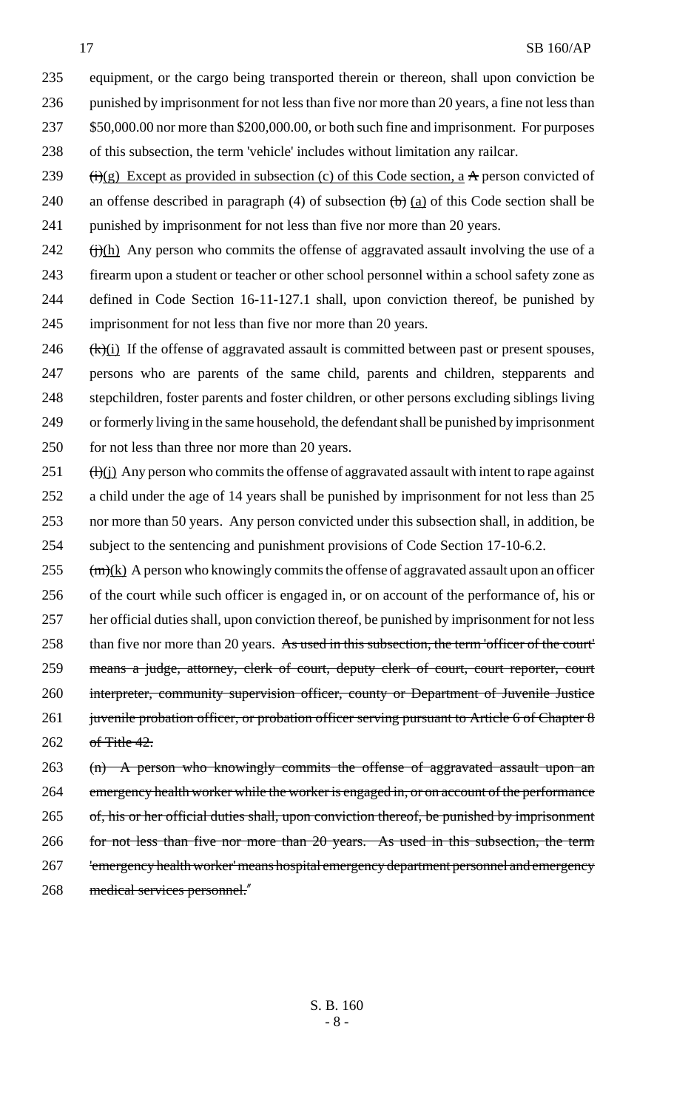equipment, or the cargo being transported therein or thereon, shall upon conviction be 236 punished by imprisonment for not less than five nor more than 20 years, a fine not less than \$50,000.00 nor more than \$200,000.00, or both such fine and imprisonment. For purposes of this subsection, the term 'vehicle' includes without limitation any railcar.  $(i)(g)$  Except as provided in subsection (c) of this Code section, a A person convicted of

240 an offense described in paragraph (4) of subsection  $\left(\frac{b}{a}\right)$  of this Code section shall be punished by imprisonment for not less than five nor more than 20 years.

 (i)(h) Any person who commits the offense of aggravated assault involving the use of a firearm upon a student or teacher or other school personnel within a school safety zone as defined in Code Section 16-11-127.1 shall, upon conviction thereof, be punished by imprisonment for not less than five nor more than 20 years.

 $(k)(i)$  If the offense of aggravated assault is committed between past or present spouses, persons who are parents of the same child, parents and children, stepparents and stepchildren, foster parents and foster children, or other persons excluding siblings living or formerly living in the same household, the defendant shall be punished by imprisonment 250 for not less than three nor more than 20 years.

 (H)(j) Any person who commits the offense of aggravated assault with intent to rape against a child under the age of 14 years shall be punished by imprisonment for not less than 25 nor more than 50 years. Any person convicted under this subsection shall, in addition, be subject to the sentencing and punishment provisions of Code Section 17-10-6.2.

 (m)(k) A person who knowingly commits the offense of aggravated assault upon an officer of the court while such officer is engaged in, or on account of the performance of, his or her official duties shall, upon conviction thereof, be punished by imprisonment for not less 258 than five nor more than 20 years. As used in this subsection, the term 'officer of the court' means a judge, attorney, clerk of court, deputy clerk of court, court reporter, court interpreter, community supervision officer, county or Department of Juvenile Justice 261 juvenile probation officer, or probation officer serving pursuant to Article 6 of Chapter 8 of Title 42.

263 (n) A person who knowingly commits the offense of aggravated assault upon an 264 emergency health worker while the worker is engaged in, or on account of the performance of, his or her official duties shall, upon conviction thereof, be punished by imprisonment for not less than five nor more than 20 years. As used in this subsection, the term 267 Femergency health worker' means hospital emergency department personnel and emergency medical services personnel."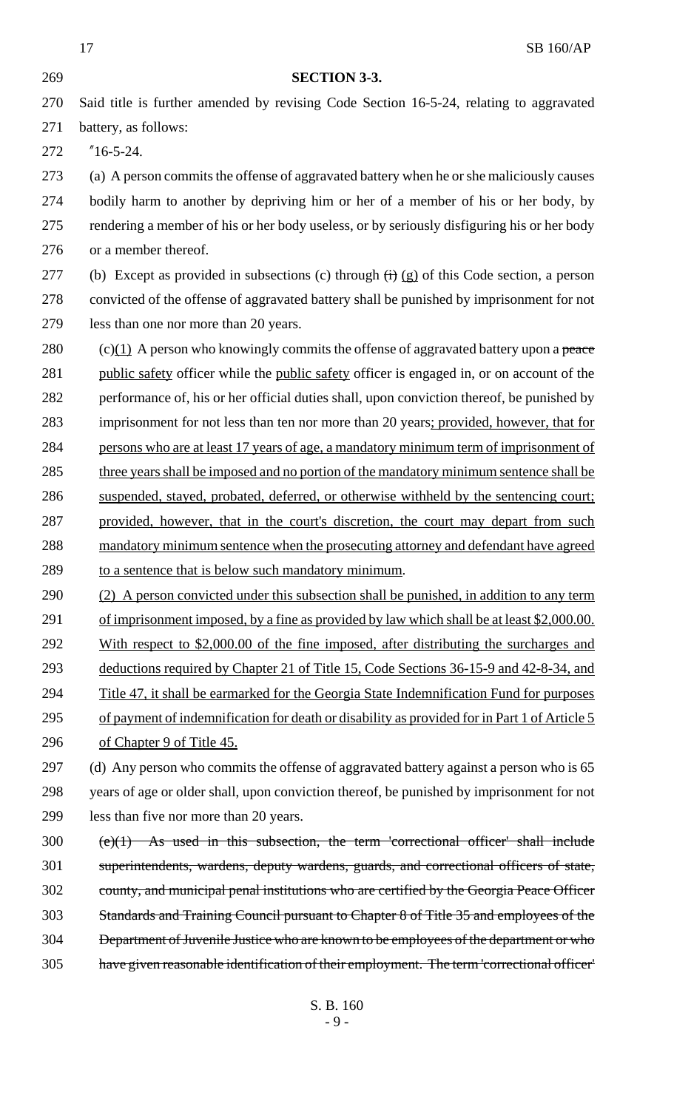| 269 | <b>SECTION 3-3.</b>                                                                                             |
|-----|-----------------------------------------------------------------------------------------------------------------|
| 270 | Said title is further amended by revising Code Section 16-5-24, relating to aggravated                          |
|     |                                                                                                                 |
| 271 | battery, as follows:                                                                                            |
| 272 | $"16-5-24.$                                                                                                     |
| 273 | (a) A person commits the offense of aggravated battery when he or she maliciously causes                        |
| 274 | bodily harm to another by depriving him or her of a member of his or her body, by                               |
| 275 | rendering a member of his or her body useless, or by seriously disfiguring his or her body                      |
| 276 | or a member thereof.                                                                                            |
| 277 | (b) Except as provided in subsections (c) through $\left(\frac{1}{2}\right)$ (g) of this Code section, a person |
| 278 | convicted of the offense of aggravated battery shall be punished by imprisonment for not                        |
| 279 | less than one nor more than 20 years.                                                                           |
| 280 | $(c)(1)$ A person who knowingly commits the offense of aggravated battery upon a peace                          |
| 281 | public safety officer while the public safety officer is engaged in, or on account of the                       |
| 282 | performance of, his or her official duties shall, upon conviction thereof, be punished by                       |
| 283 | imprisonment for not less than ten nor more than 20 years; provided, however, that for                          |
| 284 | persons who are at least 17 years of age, a mandatory minimum term of imprisonment of                           |
| 285 | three years shall be imposed and no portion of the mandatory minimum sentence shall be                          |
| 286 | suspended, stayed, probated, deferred, or otherwise withheld by the sentencing court;                           |
| 287 | provided, however, that in the court's discretion, the court may depart from such                               |
| 288 | mandatory minimum sentence when the prosecuting attorney and defendant have agreed                              |
| 289 | to a sentence that is below such mandatory minimum.                                                             |
| 290 | (2) A person convicted under this subsection shall be punished, in addition to any term                         |
| 291 | of imprisonment imposed, by a fine as provided by law which shall be at least \$2,000.00.                       |
| 292 | With respect to \$2,000.00 of the fine imposed, after distributing the surcharges and                           |
| 293 | deductions required by Chapter 21 of Title 15, Code Sections 36-15-9 and 42-8-34, and                           |

- 294 Title 47, it shall be earmarked for the Georgia State Indemnification Fund for purposes
- 295 of payment of indemnification for death or disability as provided for in Part 1 of Article 5 296 of Chapter 9 of Title 45.

297 (d) Any person who commits the offense of aggravated battery against a person who is 65 298 years of age or older shall, upon conviction thereof, be punished by imprisonment for not 299 less than five nor more than 20 years.

 (e)(1) As used in this subsection, the term 'correctional officer' shall include superintendents, wardens, deputy wardens, guards, and correctional officers of state, county, and municipal penal institutions who are certified by the Georgia Peace Officer Standards and Training Council pursuant to Chapter 8 of Title 35 and employees of the Department of Juvenile Justice who are known to be employees of the department or who have given reasonable identification of their employment. The term 'correctional officer'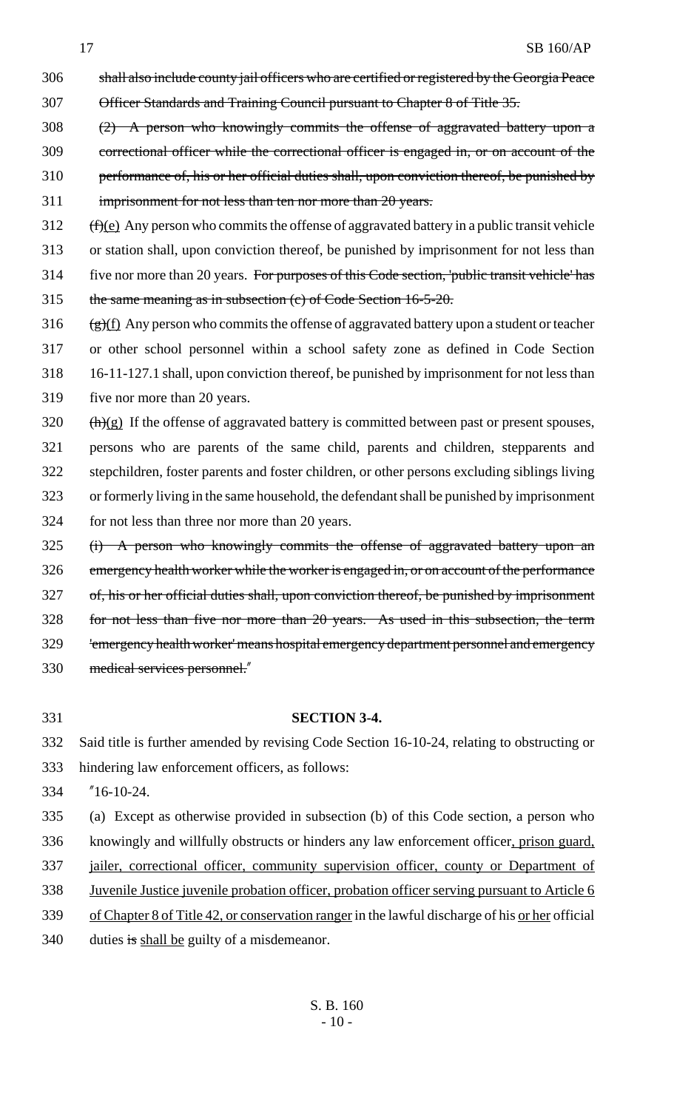- shall also include county jail officers who are certified or registered by the Georgia Peace Officer Standards and Training Council pursuant to Chapter 8 of Title 35.
- (2) A person who knowingly commits the offense of aggravated battery upon a correctional officer while the correctional officer is engaged in, or on account of the 310 performance of, his or her official duties shall, upon conviction thereof, be punished by imprisonment for not less than ten nor more than 20 years.
- (f)(e) Any person who commits the offense of aggravated battery in a public transit vehicle or station shall, upon conviction thereof, be punished by imprisonment for not less than five nor more than 20 years. For purposes of this Code section, 'public transit vehicle' has
- the same meaning as in subsection (c) of Code Section 16-5-20.
- 316  $(g)(f)$  Any person who commits the offense of aggravated battery upon a student or teacher or other school personnel within a school safety zone as defined in Code Section 16-11-127.1 shall, upon conviction thereof, be punished by imprisonment for not less than five nor more than 20 years.
- (h)(g) If the offense of aggravated battery is committed between past or present spouses, persons who are parents of the same child, parents and children, stepparents and stepchildren, foster parents and foster children, or other persons excluding siblings living or formerly living in the same household, the defendant shall be punished by imprisonment for not less than three nor more than 20 years.
- (i) A person who knowingly commits the offense of aggravated battery upon an emergency health worker while the worker is engaged in, or on account of the performance
- of, his or her official duties shall, upon conviction thereof, be punished by imprisonment
- for not less than five nor more than 20 years. As used in this subsection, the term
- 
- 'emergency health worker' means hospital emergency department personnel and emergency
- medical services personnel."
- 

## **SECTION 3-4.**

- Said title is further amended by revising Code Section 16-10-24, relating to obstructing or
- hindering law enforcement officers, as follows:
- "16-10-24.
- (a) Except as otherwise provided in subsection (b) of this Code section, a person who
- knowingly and willfully obstructs or hinders any law enforcement officer, prison guard,
- 337 jailer, correctional officer, community supervision officer, county or Department of
- Juvenile Justice juvenile probation officer, probation officer serving pursuant to Article 6
- of Chapter 8 of Title 42, or conservation ranger in the lawful discharge of his or her official
- duties is shall be guilty of a misdemeanor.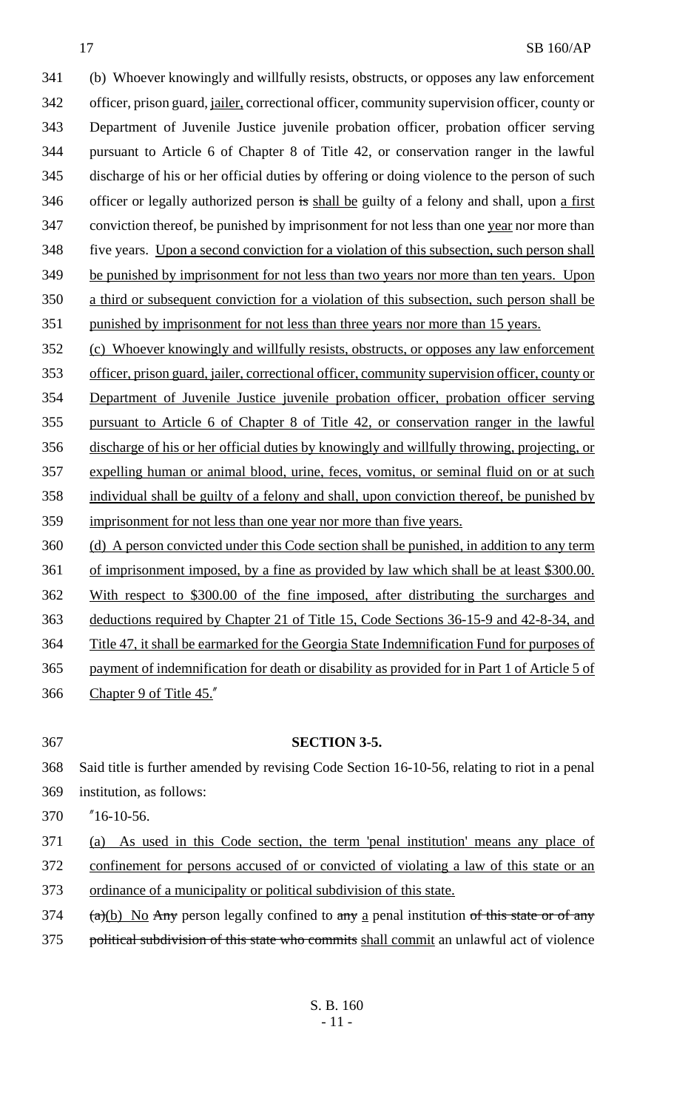(b) Whoever knowingly and willfully resists, obstructs, or opposes any law enforcement officer, prison guard, jailer, correctional officer, community supervision officer, county or Department of Juvenile Justice juvenile probation officer, probation officer serving pursuant to Article 6 of Chapter 8 of Title 42, or conservation ranger in the lawful discharge of his or her official duties by offering or doing violence to the person of such 346 officer or legally authorized person is shall be guilty of a felony and shall, upon a first 347 conviction thereof, be punished by imprisonment for not less than one year nor more than five years. Upon a second conviction for a violation of this subsection, such person shall 349 be punished by imprisonment for not less than two years nor more than ten years. Upon a third or subsequent conviction for a violation of this subsection, such person shall be punished by imprisonment for not less than three years nor more than 15 years. (c) Whoever knowingly and willfully resists, obstructs, or opposes any law enforcement officer, prison guard, jailer, correctional officer, community supervision officer, county or Department of Juvenile Justice juvenile probation officer, probation officer serving pursuant to Article 6 of Chapter 8 of Title 42, or conservation ranger in the lawful

- discharge of his or her official duties by knowingly and willfully throwing, projecting, or expelling human or animal blood, urine, feces, vomitus, or seminal fluid on or at such individual shall be guilty of a felony and shall, upon conviction thereof, be punished by imprisonment for not less than one year nor more than five years.
- (d) A person convicted under this Code section shall be punished, in addition to any term of imprisonment imposed, by a fine as provided by law which shall be at least \$300.00. With respect to \$300.00 of the fine imposed, after distributing the surcharges and deductions required by Chapter 21 of Title 15, Code Sections 36-15-9 and 42-8-34, and Title 47, it shall be earmarked for the Georgia State Indemnification Fund for purposes of payment of indemnification for death or disability as provided for in Part 1 of Article 5 of Chapter 9 of Title 45."
- 

## **SECTION 3-5.**

- Said title is further amended by revising Code Section 16-10-56, relating to riot in a penal institution, as follows:
- "16-10-56.
- (a) As used in this Code section, the term 'penal institution' means any place of
- confinement for persons accused of or convicted of violating a law of this state or an ordinance of a municipality or political subdivision of this state.
- (a)(b) No Any person legally confined to any a penal institution of this state or of any
- 375 political subdivision of this state who commits shall commit an unlawful act of violence